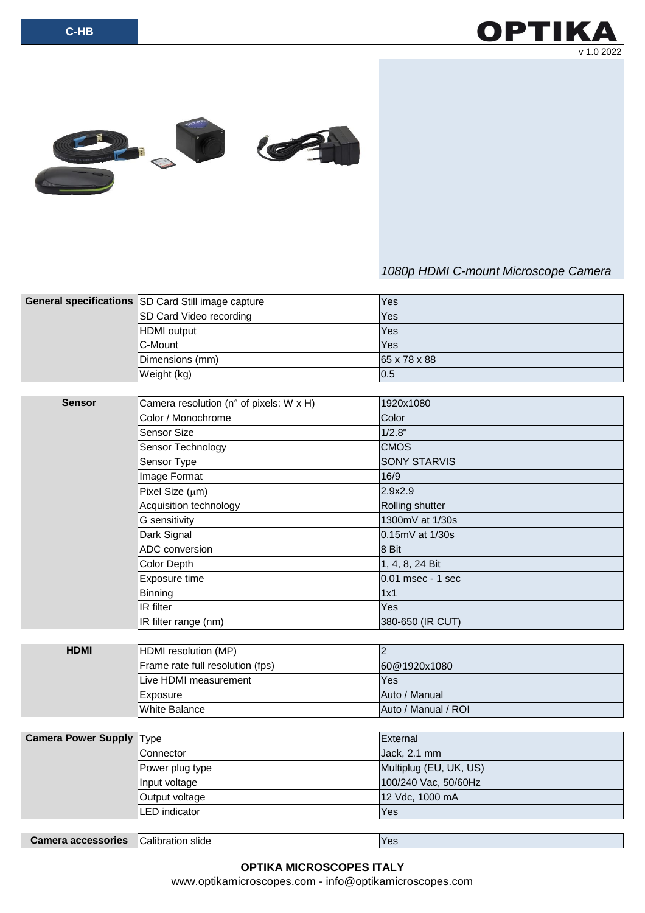OPTII v 1.0 2022



## *1080p HDMI C-mount Microscope Camera*

|                                 | General specifications SD Card Still image capture | Yes                    |
|---------------------------------|----------------------------------------------------|------------------------|
|                                 | SD Card Video recording                            | Yes                    |
|                                 | <b>HDMI</b> output                                 | Yes                    |
|                                 | C-Mount                                            | Yes                    |
|                                 | Dimensions (mm)                                    | 65 x 78 x 88           |
|                                 | Weight (kg)                                        | 0.5                    |
|                                 |                                                    |                        |
| <b>Sensor</b>                   | Camera resolution (n° of pixels: W x H)            | 1920x1080              |
|                                 | Color / Monochrome                                 | Color                  |
|                                 | Sensor Size                                        | 1/2.8"                 |
|                                 | Sensor Technology                                  | <b>CMOS</b>            |
|                                 | Sensor Type                                        | <b>SONY STARVIS</b>    |
|                                 | Image Format                                       | 16/9                   |
|                                 | Pixel Size (µm)                                    | 2.9x2.9                |
|                                 | Acquisition technology                             | Rolling shutter        |
|                                 | G sensitivity                                      | 1300mV at 1/30s        |
|                                 | Dark Signal                                        | 0.15mV at 1/30s        |
|                                 | ADC conversion                                     | 8 Bit                  |
|                                 | Color Depth                                        | 1, 4, 8, 24 Bit        |
|                                 | Exposure time                                      | 0.01 msec - 1 sec      |
|                                 | Binning                                            | 1x1                    |
|                                 | IR filter                                          | Yes                    |
|                                 | IR filter range (nm)                               | 380-650 (IR CUT)       |
|                                 |                                                    |                        |
| <b>HDMI</b>                     | HDMI resolution (MP)                               | $\overline{2}$         |
|                                 | Frame rate full resolution (fps)                   | 60@1920x1080           |
|                                 | Live HDMI measurement                              | Yes                    |
|                                 | Exposure                                           | Auto / Manual          |
|                                 | <b>White Balance</b>                               | Auto / Manual / ROI    |
|                                 |                                                    |                        |
| <b>Camera Power Supply Type</b> |                                                    | External               |
|                                 | Connector                                          | Jack, 2.1 mm           |
|                                 | Power plug type                                    | Multiplug (EU, UK, US) |
|                                 | Input voltage                                      | 100/240 Vac, 50/60Hz   |
|                                 | Output voltage                                     | 12 Vdc, 1000 mA        |
|                                 | LED indicator                                      | Yes                    |
|                                 |                                                    |                        |
| <b>Camera accessories</b>       | Calibration slide                                  | Yes                    |

www.optikamicroscopes.com - info@optikamicroscopes.com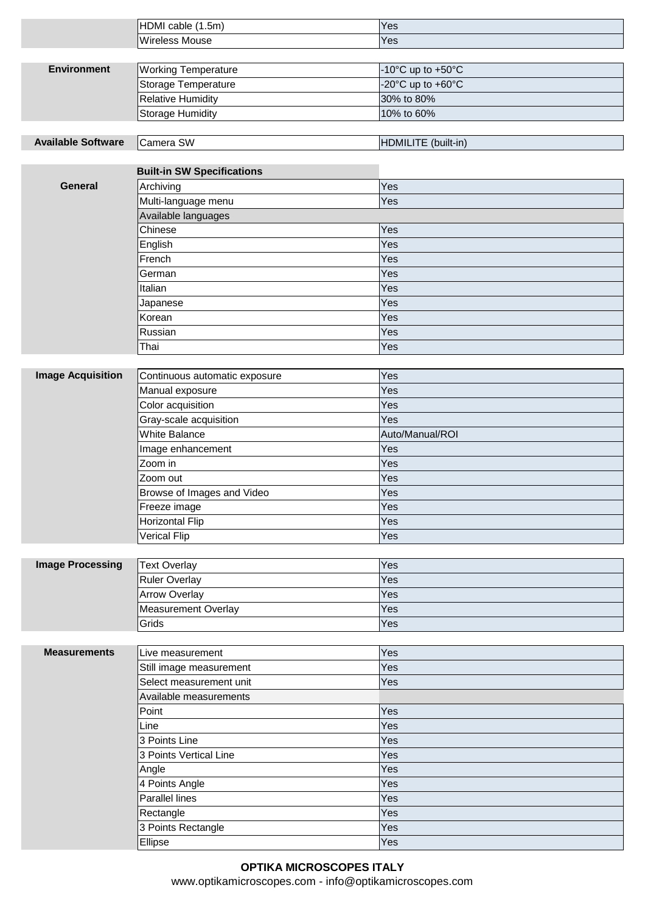|                           | HDMI cable (1.5m)                      | Yes                 |
|---------------------------|----------------------------------------|---------------------|
|                           | <b>Wireless Mouse</b>                  | Yes                 |
|                           |                                        |                     |
| <b>Environment</b>        | <b>Working Temperature</b>             | -10°C up to +50°C   |
|                           | Storage Temperature                    | -20°C up to +60°C   |
|                           | <b>Relative Humidity</b>               | 30% to 80%          |
|                           | <b>Storage Humidity</b>                | 10% to 60%          |
|                           |                                        |                     |
| <b>Available Software</b> | Camera SW                              | HDMILITE (built-in) |
|                           |                                        |                     |
|                           | <b>Built-in SW Specifications</b>      |                     |
| <b>General</b>            | Archiving                              | Yes                 |
|                           | Multi-language menu                    | Yes                 |
|                           | Available languages                    |                     |
|                           | Chinese                                | Yes                 |
|                           | English                                | Yes                 |
|                           | French                                 | Yes                 |
|                           | German                                 | Yes                 |
|                           | Italian                                | Yes                 |
|                           | Japanese                               | Yes                 |
|                           | Korean                                 | Yes                 |
|                           | Russian                                | Yes                 |
|                           | Thai                                   | Yes                 |
|                           |                                        |                     |
| <b>Image Acquisition</b>  | Continuous automatic exposure          | Yes                 |
|                           | Manual exposure                        | Yes                 |
|                           | Color acquisition                      | Yes                 |
|                           | Gray-scale acquisition                 | Yes                 |
|                           | <b>White Balance</b>                   | Auto/Manual/ROI     |
|                           | Image enhancement<br>Zoom in           | Yes                 |
|                           |                                        | Yes<br>Yes          |
|                           | Zoom out<br>Browse of Images and Video | Yes                 |
|                           | Freeze image                           | Yes                 |
|                           | <b>Horizontal Flip</b>                 | Yes                 |
|                           | <b>Verical Flip</b>                    | Yes                 |
|                           |                                        |                     |
| <b>Image Processing</b>   | <b>Text Overlay</b>                    | Yes                 |
|                           | <b>Ruler Overlay</b>                   | Yes                 |
|                           | <b>Arrow Overlay</b>                   | Yes                 |
|                           | <b>Measurement Overlay</b>             | Yes                 |
|                           | Grids                                  | Yes                 |
|                           |                                        |                     |
| <b>Measurements</b>       | Live measurement                       | Yes                 |
|                           | Still image measurement                | Yes                 |
|                           | Select measurement unit                | Yes                 |
|                           | Available measurements                 |                     |
|                           | Point                                  | Yes                 |
|                           | Line                                   | Yes                 |
|                           | 3 Points Line                          | Yes                 |
|                           | 3 Points Vertical Line                 | Yes                 |
|                           | Angle                                  | Yes                 |
|                           | 4 Points Angle                         | Yes                 |
|                           | Parallel lines                         | Yes                 |
|                           | Rectangle                              | Yes                 |
|                           | 3 Points Rectangle                     | Yes                 |
|                           | Ellipse                                | Yes                 |